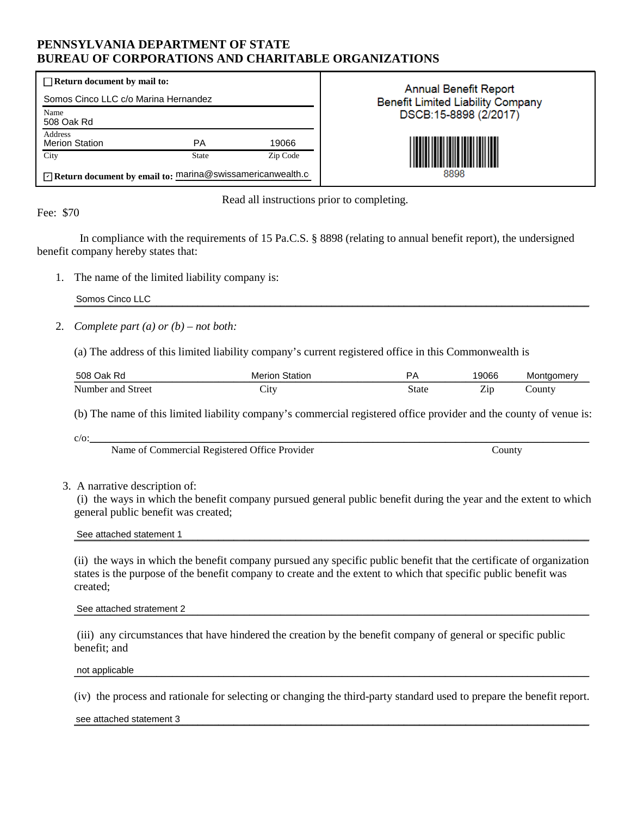### **PENNSYLVANIA DEPARTMENT OF STATE BUREAU OF CORPORATIONS AND CHARITABLE ORGANIZATIONS**

| $\Box$ Return document by mail to:                        |       |          |  |  |
|-----------------------------------------------------------|-------|----------|--|--|
| Somos Cinco LLC c/o Marina Hernandez                      |       |          |  |  |
| Name<br>508 Oak Rd                                        |       |          |  |  |
| Address<br><b>Merion Station</b>                          | PА    | 19066    |  |  |
| City                                                      | State | Zip Code |  |  |
| Return document by email to: marina@swissamericanwealth.c |       |          |  |  |

**Annual Benefit Report Benefit Limited Liability Company** DSCB:15-8898 (2/2017)



Read all instructions prior to completing.

Fee: \$70

 In compliance with the requirements of 15 Pa.C.S. § 8898 (relating to annual benefit report), the undersigned benefit company hereby states that:

1. The name of the limited liability company is:

 $\mathsf{Somos}$  Cinco LLC  $\blacksquare$ Somos Cinco LLC

2. *Complete part (a) or (b) – not both:*

(a) The address of this limited liability company's current registered office in this Commonwealth is

| 508<br>Oak.<br>Ro       | Merion<br>Station | , כ   | 9066                                         | Montaomerv |
|-------------------------|-------------------|-------|----------------------------------------------|------------|
| Street<br>Number<br>and | أراز              | state | $\overline{\phantom{a}}$<br>$\mathcal{L}$ ir | Jounty     |

(b) The name of this limited liability company's commercial registered office provider and the county of venue is:

 $c/c:$ 

Name of Commercial Registered Office Provider County County

#### 3. A narrative description of:

(i) the ways in which the benefit company pursued general public benefit during the year and the extent to which general public benefit was created;

See attached statement 1

(ii) the ways in which the benefit company pursued any specific public benefit that the certificate of organization states is the purpose of the benefit company to create and the extent to which that specific public benefit was created;

See attached stratement 2

(iii) any circumstances that have hindered the creation by the benefit company of general or specific public benefit; and

not applicable the control of the control of the control of the control of the control of the control of the control of the control of the control of the control of the control of the control of the control of the control not applicable

(iv) the process and rationale for selecting or changing the third-party standard used to prepare the benefit report.

see attached statement 3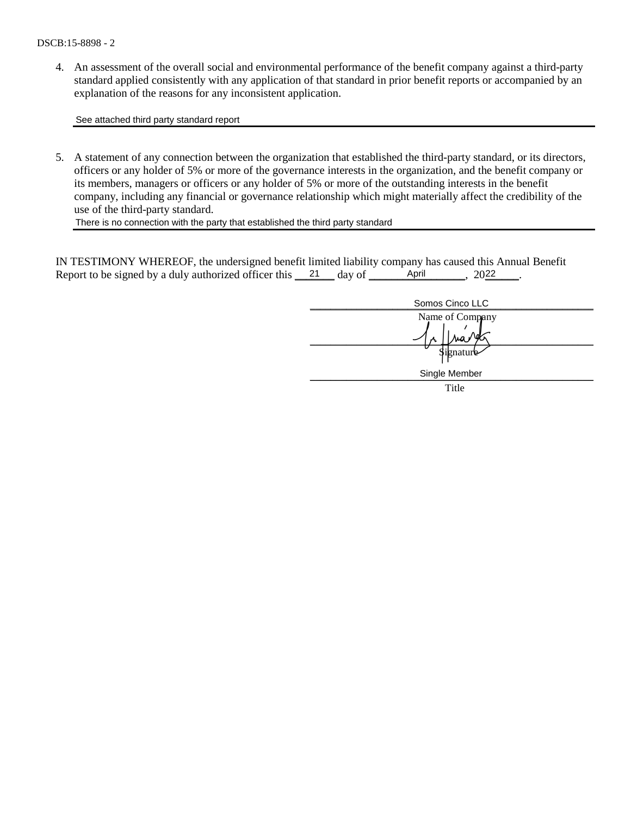4. An assessment of the overall social and environmental performance of the benefit company against a third-party standard applied consistently with any application of that standard in prior benefit reports or accompanied by an explanation of the reasons for any inconsistent application.

See attached third party standard report

5. A statement of any connection between the organization that established the third-party standard, or its directors, officers or any holder of 5% or more of the governance interests in the organization, and the benefit company or its members, managers or officers or any holder of 5% or more of the outstanding interests in the benefit company, including any financial or governance relationship which might materially affect the credibility of the use of the third-party standard.

There is no connection with the party that established the third party standard

IN TESTIMONY WHEREOF, the undersigned benefit limited liability company has caused this Annual Benefit Report to be signed by a duly authorized officer this  $\frac{21}{4}$  day of  $\frac{\text{April}}{\text{April}}$ , 2022.

| Somos Cinco LLC |
|-----------------|
| Name of Company |
| Signature       |
| Single Member   |
| Title           |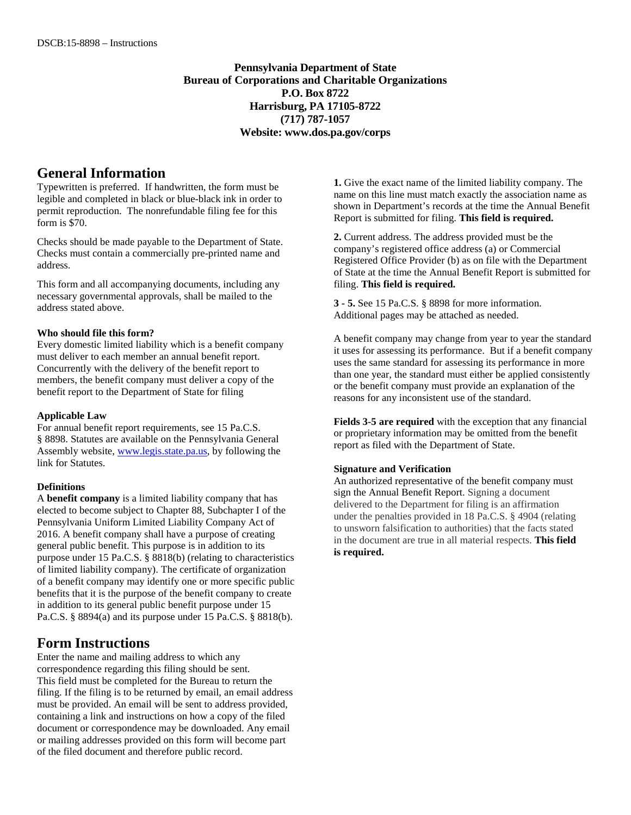**Pennsylvania Department of State Bureau of Corporations and Charitable Organizations P.O. Box 8722 Harrisburg, PA 17105-8722 (717) 787-1057 Website: www.dos.pa.gov/corps**

#### **General Information**

Typewritten is preferred. If handwritten, the form must be legible and completed in black or blue-black ink in order to permit reproduction. The nonrefundable filing fee for this form is \$70.

Checks should be made payable to the Department of State. Checks must contain a commercially pre-printed name and address.

This form and all accompanying documents, including any necessary governmental approvals, shall be mailed to the address stated above.

#### **Who should file this form?**

Every domestic limited liability which is a benefit company must deliver to each member an annual benefit report. Concurrently with the delivery of the benefit report to members, the benefit company must deliver a copy of the benefit report to the Department of State for filing

#### **Applicable Law**

For annual benefit report requirements, see 15 Pa.C.S. § 8898. Statutes are available on the Pennsylvania General Assembly website, www.legis.state.pa.us, by following the link for Statutes.

#### **Definitions**

A **benefit company** is a limited liability company that has elected to become subject to Chapter 88, Subchapter I of the Pennsylvania Uniform Limited Liability Company Act of 2016. A benefit company shall have a purpose of creating general public benefit. This purpose is in addition to its purpose under 15 Pa.C.S. § 8818(b) (relating to characteristics of limited liability company). The certificate of organization of a benefit company may identify one or more specific public benefits that it is the purpose of the benefit company to create in addition to its general public benefit purpose under 15 Pa.C.S. § 8894(a) and its purpose under 15 Pa.C.S. § 8818(b).

### **Form Instructions**

Enter the name and mailing address to which any correspondence regarding this filing should be sent. This field must be completed for the Bureau to return the filing. If the filing is to be returned by email, an email address must be provided. An email will be sent to address provided, containing a link and instructions on how a copy of the filed document or correspondence may be downloaded. Any email or mailing addresses provided on this form will become part of the filed document and therefore public record.

**1.** Give the exact name of the limited liability company. The name on this line must match exactly the association name as shown in Department's records at the time the Annual Benefit Report is submitted for filing. **This field is required.**

**2.** Current address. The address provided must be the company's registered office address (a) or Commercial Registered Office Provider (b) as on file with the Department of State at the time the Annual Benefit Report is submitted for filing. **This field is required.**

**3 - 5.** See 15 Pa.C.S. § 8898 for more information. Additional pages may be attached as needed.

A benefit company may change from year to year the standard it uses for assessing its performance. But if a benefit company uses the same standard for assessing its performance in more than one year, the standard must either be applied consistently or the benefit company must provide an explanation of the reasons for any inconsistent use of the standard.

**Fields 3-5 are required** with the exception that any financial or proprietary information may be omitted from the benefit report as filed with the Department of State.

#### **Signature and Verification**

An authorized representative of the benefit company must sign the Annual Benefit Report. Signing a document delivered to the Department for filing is an affirmation under the penalties provided in 18 Pa.C.S. § 4904 (relating to unsworn falsification to authorities) that the facts stated in the document are true in all material respects. **This field is required.**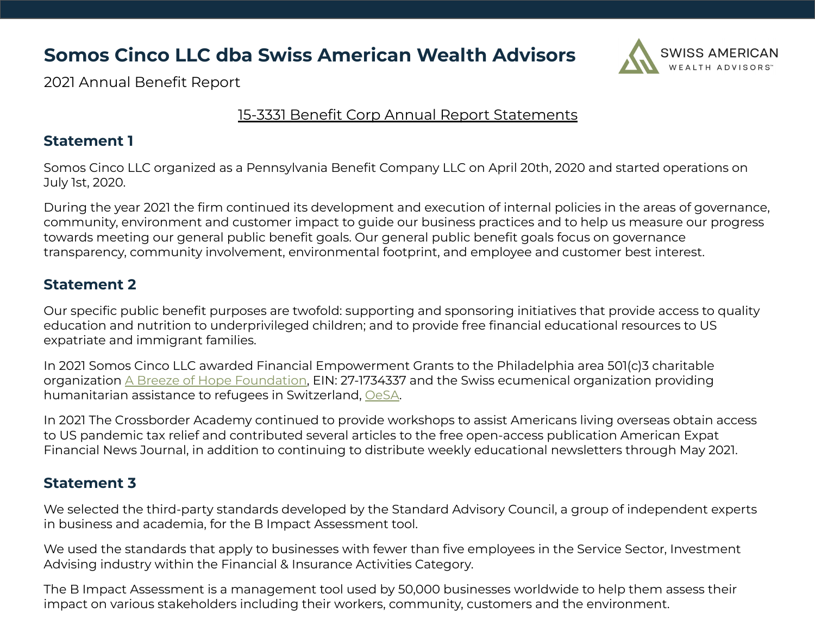### **Somos Cinco LLC dba Swiss American Wealth Advisors**



2021 Annual Benefit Report

### 15-3331 Benefit Corp Annual Report Statements

### **Statement 1**

Somos Cinco LLC organized as a Pennsylvania Benefit Company LLC on April 20th, 2020 and started operations on July 1st, 2020.

During the year 2021 the firm continued its development and execution of internal policies in the areas of governance, community, environment and customer impact to guide our business practices and to help us measure our progress towards meeting our general public benefit goals. Our general public benefit goals focus on governance transparency, community involvement, environmental footprint, and employee and customer best interest.

### **Statement 2**

Our specific public benefit purposes are twofold: supporting and sponsoring initiatives that provide access to quality education and nutrition to underprivileged children; and to provide free financial educational resources to US expatriate and immigrant families.

In 2021 Somos Cinco LLC awarded Financial Empowerment Grants to the Philadelphia area 501(c)3 charitable organization [A Breeze of Hope Foundation](https://www.abreezeofhope.org/), EIN: 27-1734337 and the Swiss ecumenical organization providing humanitarian assistance to refugees in Switzerland, [OeSA.](https://www.oesa.ch/)

In 2021 The Crossborder Academy continued to provide workshops to assist Americans living overseas obtain access to US pandemic tax relief and contributed several articles to the free open-access publication American Expat Financial News Journal, in addition to continuing to distribute weekly educational newsletters through May 2021.

### **Statement 3**

We selected the third-party standards developed by the Standard Advisory Council, a group of independent experts in business and academia, for the B Impact Assessment tool.

We used the standards that apply to businesses with fewer than five employees in the Service Sector, Investment Advising industry within the Financial & Insurance Activities Category.

The B Impact Assessment is a management tool used by 50,000 businesses worldwide to help them assess their impact on various stakeholders including their workers, community, customers and the environment.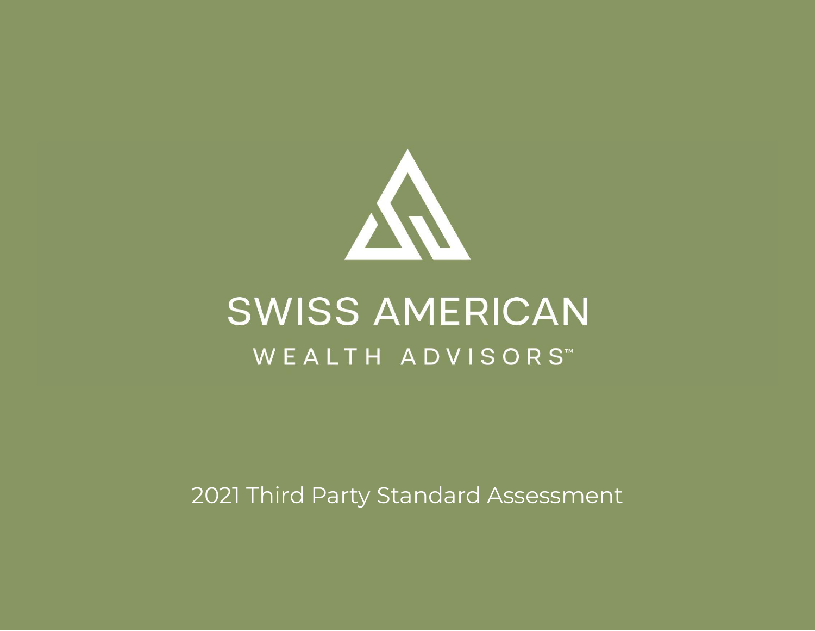

# **SWISS AMERICAN** WEALTH ADVISORS™

2021 Third Party Standard Assessment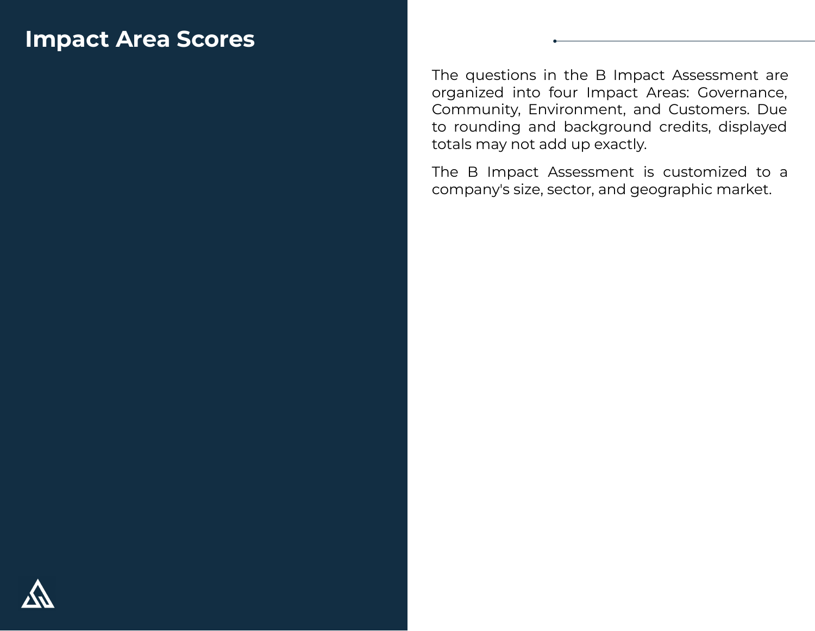# **Impact Area Scores**

The questions in the B Impact Assessment are organized into four Impact Areas: Governance, Community, Environment, and Customers. Due to rounding and background credits, displayed totals may not add up exactly.

The B Impact Assessment is customized to a company's size, sector, and geographic market.

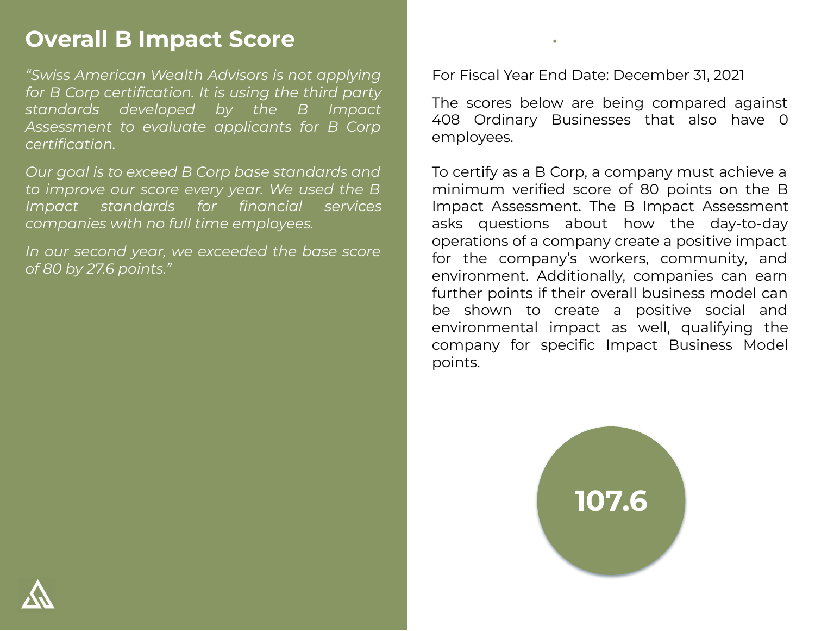# **Overall B Impact Score**

*"Swiss American Wealth Advisors is not applying for B Corp certification. It is using the third party standards developed by the B Impact Assessment to evaluate applicants for B Corp certification.* 

*Our goal is to exceed B Corp base standards and to improve our score every year. We used the B Impact standards for financial services companies with no full time employees.*

*In our second year, we exceeded the base score of 80 by 27.6 points."*

For Fiscal Year End Date: December 31, 2021

The scores below are being compared against 408 Ordinary Businesses that also have 0 employees.

To certify as a B Corp, a company must achieve a minimum verified score of 80 points on the B Impact Assessment. The B Impact Assessment asks questions about how the day-to-day operations of a company create a positive impact for the company's workers, community, and environment. Additionally, companies can earn further points if their overall business model can be shown to create a positive social and environmental impact as well, qualifying the company for specific Impact Business Model points.



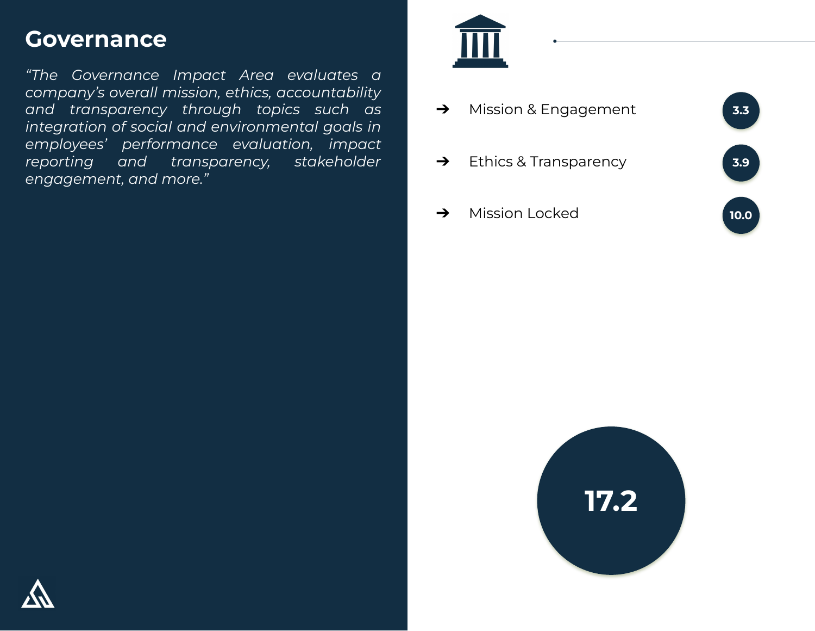# **Governance**

*"The Governance Impact Area evaluates a company's overall mission, ethics, accountability and transparency through topics such as integration of social and environmental goals in employees' performance evaluation, impact reporting and transparency, stakeholder engagement, and more."*



**→** Mission & Engagement ➔ Ethics & Transparency **→** Mission Locked **3.3 3.9 10.0**



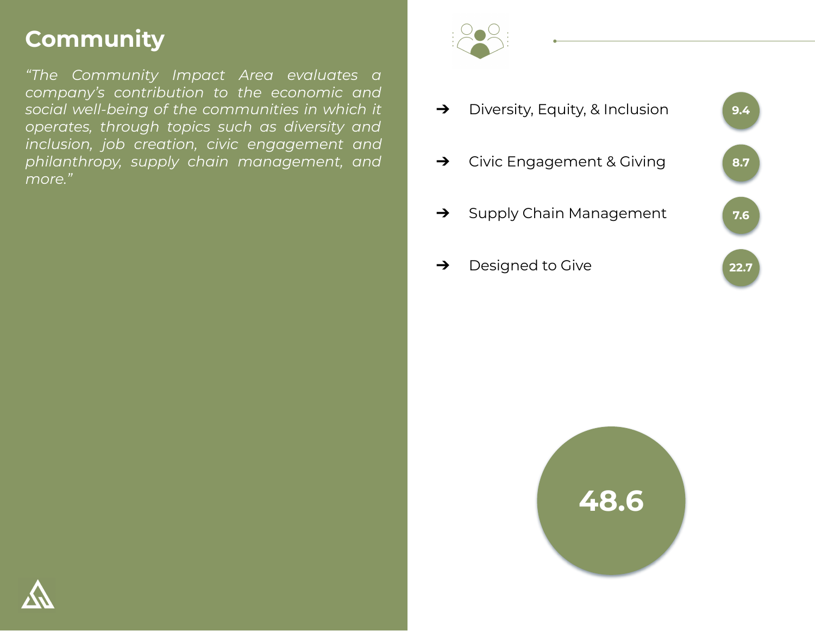# **Community**

*"The Community Impact Area evaluates a company's contribution to the economic and social well-being of the communities in which it operates, through topics such as diversity and inclusion, job creation, civic engagement and philanthropy, supply chain management, and more."*







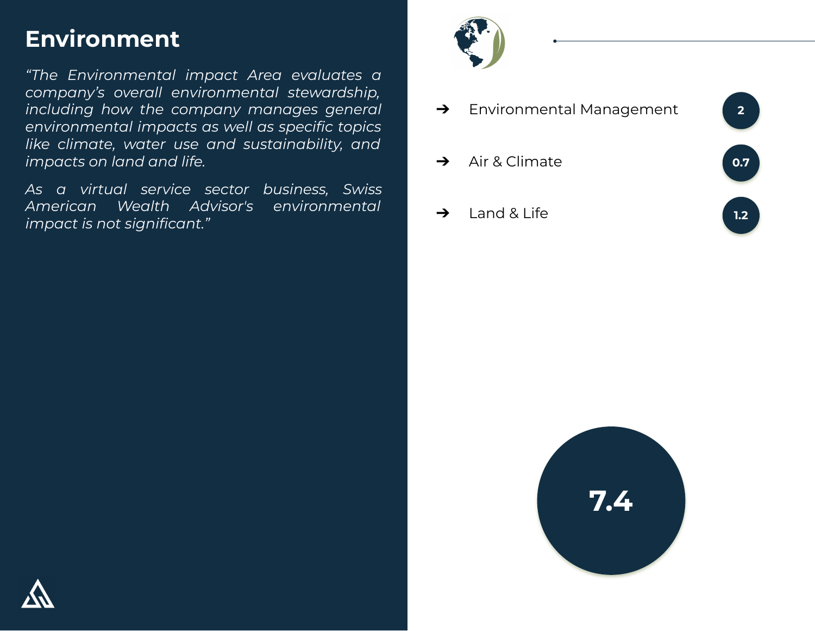# **Environment**

*"The Environmental impact Area evaluates a company's overall environmental stewardship, including how the company manages general environmental impacts as well as specific topics like climate, water use and sustainability, and impacts on land and life.*

*As a virtual service sector business, Swiss American Wealth Advisor's environmental impact is not significant."*



➔ Environmental Management **→** Air & Climate  $\rightarrow$  Land & Life **2 0.7 1.2**